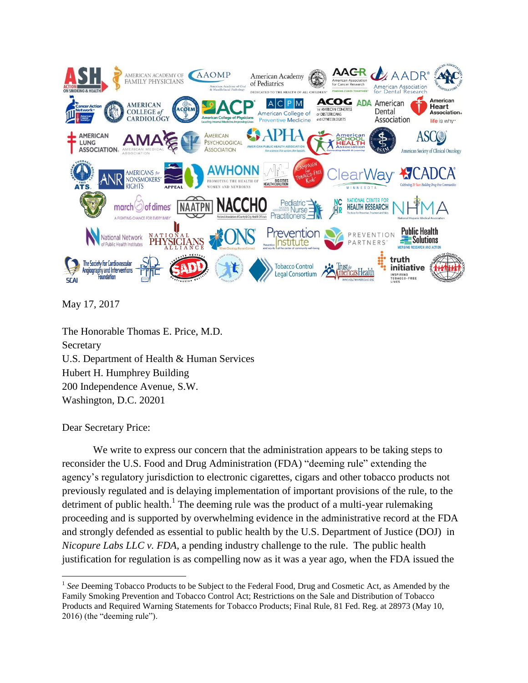

May 17, 2017

The Honorable Thomas E. Price, M.D. Secretary U.S. Department of Health & Human Services Hubert H. Humphrey Building 200 Independence Avenue, S.W. Washington, D.C. 20201

Dear Secretary Price:

 $\overline{a}$ 

We write to express our concern that the administration appears to be taking steps to reconsider the U.S. Food and Drug Administration (FDA) "deeming rule" extending the agency's regulatory jurisdiction to electronic cigarettes, cigars and other tobacco products not previously regulated and is delaying implementation of important provisions of the rule, to the detriment of public health.<sup>1</sup> The deeming rule was the product of a multi-year rulemaking proceeding and is supported by overwhelming evidence in the administrative record at the FDA and strongly defended as essential to public health by the U.S. Department of Justice (DOJ) in *Nicopure Labs LLC v. FDA*, a pending industry challenge to the rule. The public health justification for regulation is as compelling now as it was a year ago, when the FDA issued the

<sup>&</sup>lt;sup>1</sup> See Deeming Tobacco Products to be Subject to the Federal Food, Drug and Cosmetic Act, as Amended by the Family Smoking Prevention and Tobacco Control Act; Restrictions on the Sale and Distribution of Tobacco Products and Required Warning Statements for Tobacco Products; Final Rule, 81 Fed. Reg. at 28973 (May 10, 2016) (the "deeming rule").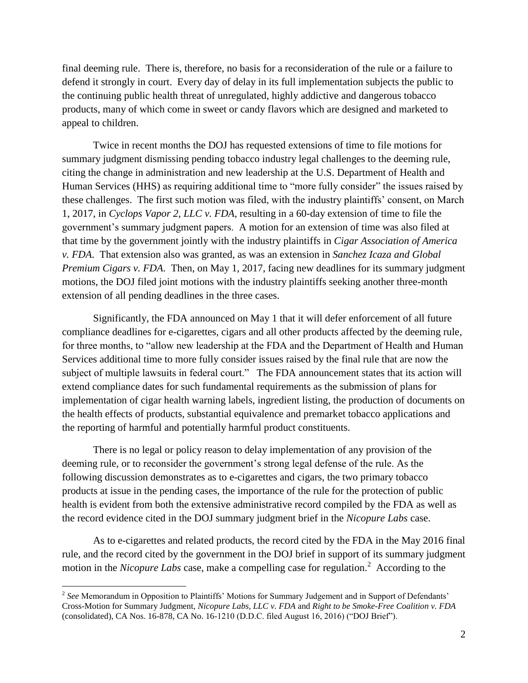final deeming rule. There is, therefore, no basis for a reconsideration of the rule or a failure to defend it strongly in court. Every day of delay in its full implementation subjects the public to the continuing public health threat of unregulated, highly addictive and dangerous tobacco products, many of which come in sweet or candy flavors which are designed and marketed to appeal to children.

Twice in recent months the DOJ has requested extensions of time to file motions for summary judgment dismissing pending tobacco industry legal challenges to the deeming rule, citing the change in administration and new leadership at the U.S. Department of Health and Human Services (HHS) as requiring additional time to "more fully consider" the issues raised by these challenges. The first such motion was filed, with the industry plaintiffs' consent, on March 1, 2017, in *Cyclops Vapor 2, LLC v. FDA*, resulting in a 60-day extension of time to file the government's summary judgment papers. A motion for an extension of time was also filed at that time by the government jointly with the industry plaintiffs in *Cigar Association of America v. FDA*. That extension also was granted, as was an extension in *Sanchez Icaza and Global Premium Cigars v. FDA.* Then, on May 1, 2017, facing new deadlines for its summary judgment motions, the DOJ filed joint motions with the industry plaintiffs seeking another three-month extension of all pending deadlines in the three cases.

Significantly, the FDA announced on May 1 that it will defer enforcement of all future compliance deadlines for e-cigarettes, cigars and all other products affected by the deeming rule, for three months, to "allow new leadership at the FDA and the Department of Health and Human Services additional time to more fully consider issues raised by the final rule that are now the subject of multiple lawsuits in federal court." The FDA announcement states that its action will extend compliance dates for such fundamental requirements as the submission of plans for implementation of cigar health warning labels, ingredient listing, the production of documents on the health effects of products, substantial equivalence and premarket tobacco applications and the reporting of harmful and potentially harmful product constituents.

There is no legal or policy reason to delay implementation of any provision of the deeming rule, or to reconsider the government's strong legal defense of the rule. As the following discussion demonstrates as to e-cigarettes and cigars, the two primary tobacco products at issue in the pending cases, the importance of the rule for the protection of public health is evident from both the extensive administrative record compiled by the FDA as well as the record evidence cited in the DOJ summary judgment brief in the *Nicopure Labs* case.

As to e-cigarettes and related products, the record cited by the FDA in the May 2016 final rule, and the record cited by the government in the DOJ brief in support of its summary judgment motion in the *Nicopure Labs* case, make a compelling case for regulation.<sup>2</sup> According to the

 $\overline{a}$ 

<sup>&</sup>lt;sup>2</sup> See Memorandum in Opposition to Plaintiffs' Motions for Summary Judgement and in Support of Defendants' Cross-Motion for Summary Judgment, *Nicopure Labs, LLC v. FDA* and *Right to be Smoke-Free Coalition v. FDA*  (consolidated), CA Nos. 16-878, CA No. 16-1210 (D.D.C. filed August 16, 2016) ("DOJ Brief").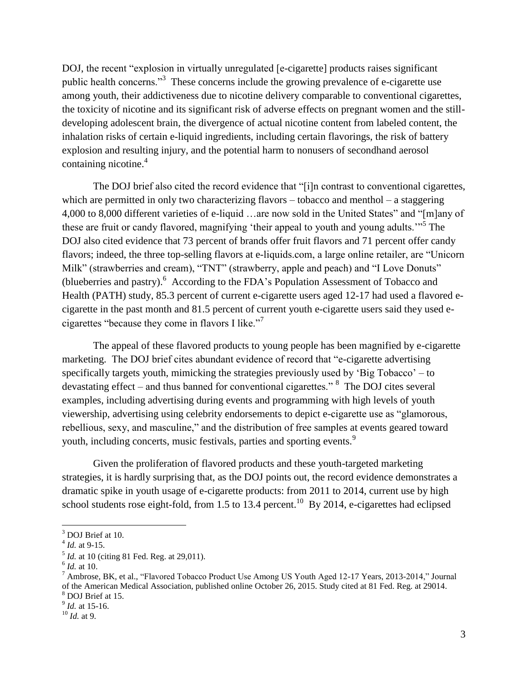DOJ, the recent "explosion in virtually unregulated [e-cigarette] products raises significant public health concerns."<sup>3</sup> These concerns include the growing prevalence of e-cigarette use among youth, their addictiveness due to nicotine delivery comparable to conventional cigarettes, the toxicity of nicotine and its significant risk of adverse effects on pregnant women and the stilldeveloping adolescent brain, the divergence of actual nicotine content from labeled content, the inhalation risks of certain e-liquid ingredients, including certain flavorings, the risk of battery explosion and resulting injury, and the potential harm to nonusers of secondhand aerosol containing nicotine.<sup>4</sup>

The DOJ brief also cited the record evidence that "[i]n contrast to conventional cigarettes, which are permitted in only two characterizing flavors – tobacco and menthol – a staggering 4,000 to 8,000 different varieties of e-liquid …are now sold in the United States" and "[m]any of these are fruit or candy flavored, magnifying 'their appeal to youth and young adults."<sup>5</sup> The DOJ also cited evidence that 73 percent of brands offer fruit flavors and 71 percent offer candy flavors; indeed, the three top-selling flavors at e-liquids.com, a large online retailer, are "Unicorn Milk" (strawberries and cream), "TNT" (strawberry, apple and peach) and "I Love Donuts" (blueberries and pastry). <sup>6</sup> According to the FDA's Population Assessment of Tobacco and Health (PATH) study, 85.3 percent of current e-cigarette users aged 12-17 had used a flavored ecigarette in the past month and 81.5 percent of current youth e-cigarette users said they used ecigarettes "because they come in flavors I like."<sup>7</sup>

The appeal of these flavored products to young people has been magnified by e-cigarette marketing. The DOJ brief cites abundant evidence of record that "e-cigarette advertising specifically targets youth, mimicking the strategies previously used by 'Big Tobacco' – to devastating effect – and thus banned for conventional cigarettes."  $8$  The DOJ cites several examples, including advertising during events and programming with high levels of youth viewership, advertising using celebrity endorsements to depict e-cigarette use as "glamorous, rebellious, sexy, and masculine," and the distribution of free samples at events geared toward youth, including concerts, music festivals, parties and sporting events.<sup>9</sup>

Given the proliferation of flavored products and these youth-targeted marketing strategies, it is hardly surprising that, as the DOJ points out, the record evidence demonstrates a dramatic spike in youth usage of e-cigarette products: from 2011 to 2014, current use by high school students rose eight-fold, from 1.5 to 13.4 percent.<sup>10</sup> By 2014, e-cigarettes had eclipsed

 $\overline{a}$ 

 $3$  DOJ Brief at 10.

<sup>4</sup> *Id.* at 9-15.

<sup>&</sup>lt;sup>5</sup> *Id.* at 10 (citing 81 Fed. Reg. at 29,011).

<sup>6</sup> *Id.* at 10.

<sup>7</sup> Ambrose, BK, et al., "Flavored Tobacco Product Use Among US Youth Aged 12-17 Years, 2013-2014," Journal of the American Medical Association, published online October 26, 2015. Study cited at 81 Fed. Reg. at 29014. <sup>8</sup> DOJ Brief at 15.

<sup>9</sup> *Id.* at 15-16.

<sup>10</sup> *Id.* at 9.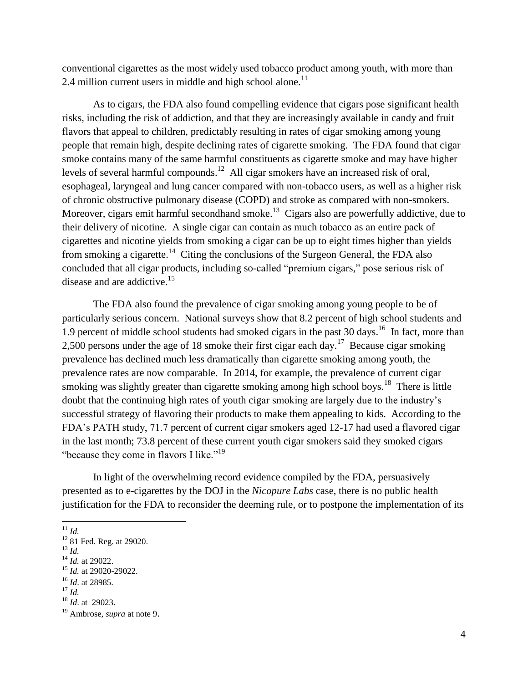conventional cigarettes as the most widely used tobacco product among youth, with more than 2.4 million current users in middle and high school alone.<sup>11</sup>

As to cigars, the FDA also found compelling evidence that cigars pose significant health risks, including the risk of addiction, and that they are increasingly available in candy and fruit flavors that appeal to children, predictably resulting in rates of cigar smoking among young people that remain high, despite declining rates of cigarette smoking. The FDA found that cigar smoke contains many of the same harmful constituents as cigarette smoke and may have higher levels of several harmful compounds.<sup>12</sup> All cigar smokers have an increased risk of oral, esophageal, laryngeal and lung cancer compared with non-tobacco users, as well as a higher risk of chronic obstructive pulmonary disease (COPD) and stroke as compared with non-smokers. Moreover, cigars emit harmful secondhand smoke.<sup>13</sup> Cigars also are powerfully addictive, due to their delivery of nicotine. A single cigar can contain as much tobacco as an entire pack of cigarettes and nicotine yields from smoking a cigar can be up to eight times higher than yields from smoking a cigarette.<sup>14</sup> Citing the conclusions of the Surgeon General, the FDA also concluded that all cigar products, including so-called "premium cigars," pose serious risk of disease and are addictive.<sup>15</sup>

The FDA also found the prevalence of cigar smoking among young people to be of particularly serious concern. National surveys show that 8.2 percent of high school students and 1.9 percent of middle school students had smoked cigars in the past  $30 \text{ days}$ .<sup>16</sup> In fact, more than 2,500 persons under the age of 18 smoke their first cigar each day.<sup>17</sup> Because cigar smoking prevalence has declined much less dramatically than cigarette smoking among youth, the prevalence rates are now comparable. In 2014, for example, the prevalence of current cigar smoking was slightly greater than cigarette smoking among high school boys.<sup>18</sup> There is little doubt that the continuing high rates of youth cigar smoking are largely due to the industry's successful strategy of flavoring their products to make them appealing to kids. According to the FDA's PATH study, 71.7 percent of current cigar smokers aged 12-17 had used a flavored cigar in the last month; 73.8 percent of these current youth cigar smokers said they smoked cigars "because they come in flavors I like."<sup>19</sup>

In light of the overwhelming record evidence compiled by the FDA, persuasively presented as to e-cigarettes by the DOJ in the *Nicopure Labs* case, there is no public health justification for the FDA to reconsider the deeming rule, or to postpone the implementation of its

 $\overline{a}$ 

<sup>11</sup> *Id.*

 $12$  81 Fed. Reg. at 29020.

<sup>13</sup> *Id.*

<sup>14</sup> *Id.* at 29022.

<sup>15</sup> *Id.* at 29020-29022.

<sup>16</sup> *Id*. at 28985.

<sup>17</sup> *Id.*

<sup>18</sup> *Id*. at 29023.

<sup>19</sup> Ambrose, *supra* at note 9.